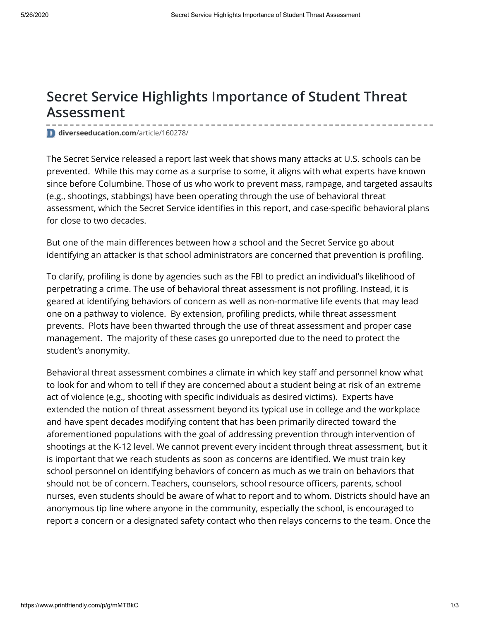## **Secret Service Highlights Importance of Student Threat Assessment**

**[diverseeducation.com](https://diverseeducation.com/article/160278/)**/article/160278/

The Secret Service [released](https://www.secretservice.gov/data/protection/ntac/usss-analysis-of-targeted-school-violence.pdf) a report last week that shows many attacks at U.S. schools can be prevented. While this may come as a surprise to some, it aligns with what experts have known since before Columbine. Those of us who work to prevent mass, rampage, and targeted assaults (e.g., shootings, stabbings) have been operating through the use of behavioral threat assessment, which the Secret Service identifies in this report, and case-specific behavioral plans for close to two decades.

But one of the main differences between how a school and the Secret Service go about identifying an attacker is that school administrators are concerned that prevention is profiling.

To clarify, profiling is done by agencies such as the FBI to predict an individual's likelihood of perpetrating a crime. The use of behavioral threat assessment is not profiling. Instead, it is geared at identifying behaviors of concern as well as non-normative life events that may lead one on a pathway to violence. By extension, profiling predicts, while threat assessment prevents. Plots have been thwarted through the use of threat assessment and proper case management. The majority of these cases go unreported due to the need to protect the student's anonymity.

Behavioral threat assessment combines a climate in which key staff and personnel know what to look for and whom to tell if they are concerned about a student being at risk of an extreme act of violence (e.g., shooting with specific individuals as desired victims). Experts have extended the notion of threat assessment beyond its typical use in college and the workplace and have spent decades modifying content that has been primarily directed toward the aforementioned populations with the goal of addressing prevention through intervention of shootings at the K-12 level. We cannot prevent every incident through threat assessment, but it is important that we reach students as soon as concerns are identified. We must train key school personnel on identifying behaviors of concern as much as we train on behaviors that should not be of concern. Teachers, counselors, school resource officers, parents, school nurses, even students should be aware of what to report and to whom. Districts should have an anonymous tip line where anyone in the community, especially the school, is encouraged to report a concern or a designated safety contact who then relays concerns to the team. Once the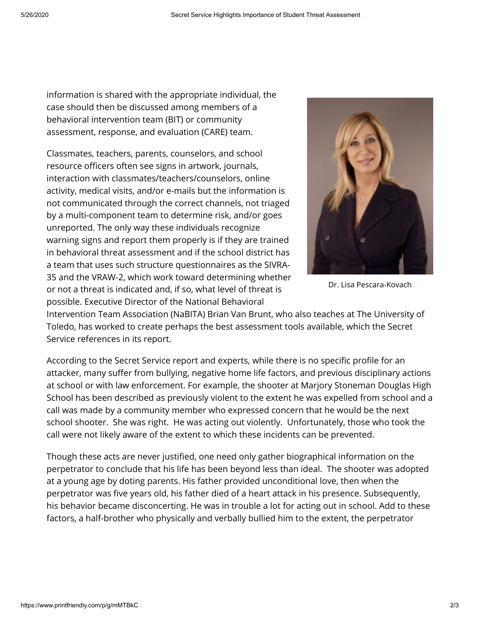information is shared with the appropriate individual, the case should then be discussed among members of a behavioral intervention team (BIT) or community assessment, response, and evaluation (CARE) team.

Classmates, teachers, parents, counselors, and school resource officers often see signs in artwork, journals, interaction with classmates/teachers/counselors, online activity, medical visits, and/or e-mails but the information is not communicated through the correct channels, not triaged by a multi-component team to determine risk, and/or goes unreported. The only way these individuals recognize warning signs and report them properly is if they are trained in behavioral threat assessment and if the school district has a team that uses such structure questionnaires as the SIVRA-35 and the VRAW-2, which work toward determining whether or not a threat is indicated and, if so, what level of threat is possible. Executive Director of the National Behavioral



Dr. Lisa Pescara-Kovach

Intervention Team Association (NaBITA) Brian Van Brunt, who also teaches at The University of Toledo, has worked to create perhaps the best assessment tools available, which the Secret Service references in its report.

According to the Secret Service report and experts, while there is no specific profile for an attacker, many suffer from bullying, negative home life factors, and previous disciplinary actions at school or with law enforcement. For example, the shooter at Marjory Stoneman Douglas High School has been described as previously violent to the extent he was expelled from school and a call was made by a community member who expressed concern that he would be the next school shooter. She was right. He was acting out violently. Unfortunately, those who took the call were not likely aware of the extent to which these incidents can be prevented.

Though these acts are never justified, one need only gather biographical information on the perpetrator to conclude that his life has been beyond less than ideal. The shooter was adopted at a young age by doting parents. His father provided unconditional love, then when the perpetrator was five years old, his father died of a heart attack in his presence. Subsequently, his behavior became disconcerting. He was in trouble a lot for acting out in school. Add to these factors, a half-brother who physically and verbally bullied him to the extent, the perpetrator